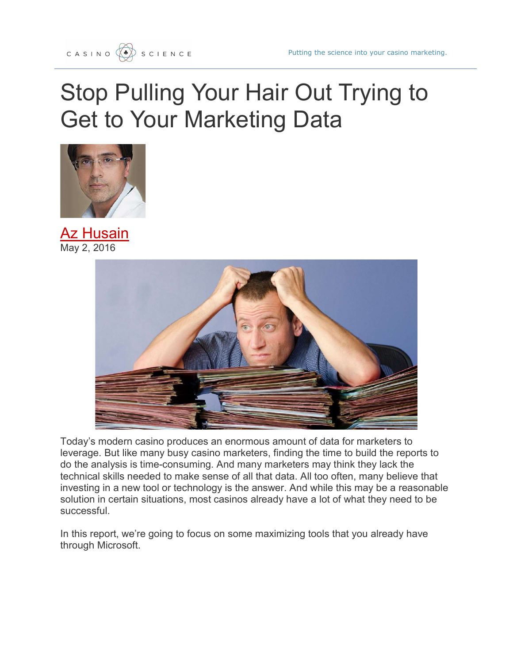## Stop Pulling Your Hair Out Trying to Get to Your Marketing Data



**Az Husain** May 2, 2016



Today's modern casino produces an enormous amount of data for marketers to leverage. But like many busy casino marketers, finding the time to build the reports to do the analysis is time-consuming. And many marketers may think they lack the technical skills needed to make sense of all that data. All too often, many believe that investing in a new tool or technology is the answer. And while this may be a reasonable solution in certain situations, most casinos already have a lot of what they need to be successful.

In this report, we're going to focus on some maximizing tools that you already have through Microsoft.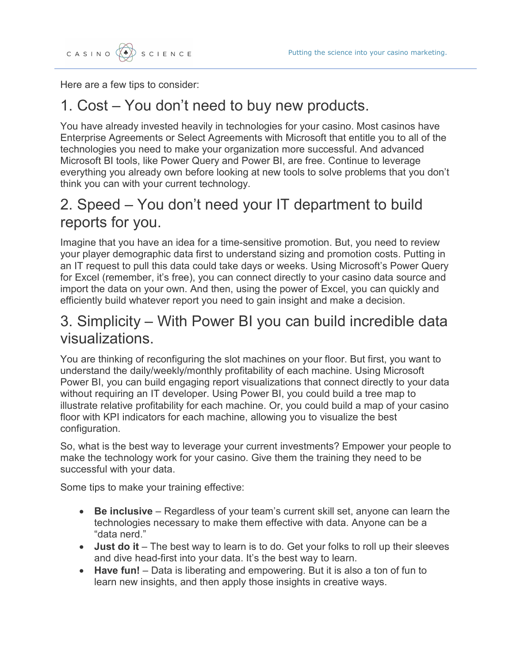Here are a few tips to consider:

## 1. Cost – You don't need to buy new products.

You have already invested heavily in technologies for your casino. Most casinos have Enterprise Agreements or Select Agreements with Microsoft that entitle you to all of the technologies you need to make your organization more successful. And advanced Microsoft BI tools, like Power Query and Power BI, are free. Continue to leverage everything you already own before looking at new tools to solve problems that you don't think you can with your current technology.

## 2. Speed – You don't need your IT department to build reports for you.

Imagine that you have an idea for a time-sensitive promotion. But, you need to review your player demographic data first to understand sizing and promotion costs. Putting in an IT request to pull this data could take days or weeks. Using Microsoft's Power Query for Excel (remember, it's free), you can connect directly to your casino data source and import the data on your own. And then, using the power of Excel, you can quickly and efficiently build whatever report you need to gain insight and make a decision.

## 3. Simplicity – With Power BI you can build incredible data visualizations.

You are thinking of reconfiguring the slot machines on your floor. But first, you want to understand the daily/weekly/monthly profitability of each machine. Using Microsoft Power BI, you can build engaging report visualizations that connect directly to your data without requiring an IT developer. Using Power BI, you could build a tree map to illustrate relative profitability for each machine. Or, you could build a map of your casino floor with KPI indicators for each machine, allowing you to visualize the best configuration.

So, what is the best way to leverage your current investments? Empower your people to make the technology work for your casino. Give them the training they need to be successful with your data.

Some tips to make your training effective:

- Be inclusive Regardless of your team's current skill set, anyone can learn the technologies necessary to make them effective with data. Anyone can be a "data nerd."
- Just do it The best way to learn is to do. Get your folks to roll up their sleeves and dive head-first into your data. It's the best way to learn.
- Have fun! Data is liberating and empowering. But it is also a ton of fun to learn new insights, and then apply those insights in creative ways.